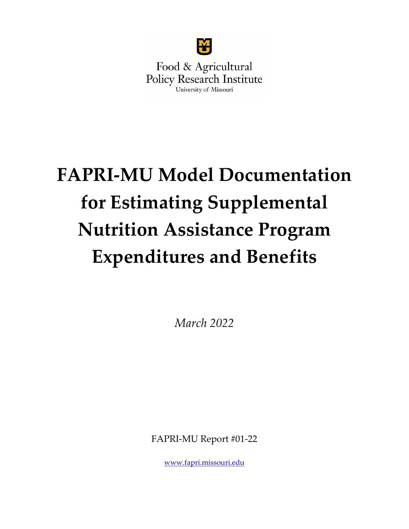

Food & Agricultural **Policy Research Institute** University of Missouri

# **FAPRI-MU Model Documentation for Estimating Supplemental Nutrition Assistance Program Expenditures and Benefits**

*March 2022*

FAPRI-MU Report #01-22

[www.fapri.missouri.edu](http://www.fapri.missouri.edu/)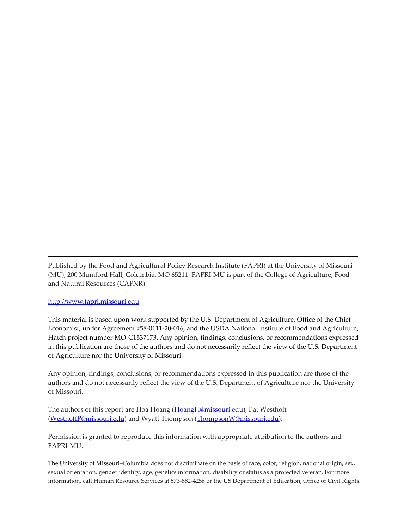Published by the Food and Agricultural Policy Research Institute (FAPRI) at the University of Missouri (MU), 200 Mumford Hall, Columbia, MO 65211. FAPRI-MU is part of the College of Agriculture, Food and Natural Resources (CAFNR).

#### [http://www.fapri.missouri.edu](http://www.fapri.missouri.edu/)

This material is based upon work supported by the U.S. Department of Agriculture, Office of the Chief Economist, under Agreement #58-0111-20-016, and the USDA National Institute of Food and Agriculture, Hatch project number MO-C1537173. Any opinion, findings, conclusions, or recommendations expressed in this publication are those of the authors and do not necessarily reflect the view of the U.S. Department of Agriculture nor the University of Missouri.

Any opinion, findings, conclusions, or recommendations expressed in this publication are those of the authors and do not necessarily reflect the view of the U.S. Department of Agriculture nor the University of Missouri.

The authors of this report are Hoa Hoang [\(HoangH@missouri.edu\)](mailto:HoangH@missouri.edu), Pat Westhoff [\(WesthoffP@missouri.edu\)](mailto:WesthoffP@missouri.edu) and Wyatt Thompson [\(ThompsonW@missouri.edu\)](mailto:ThompsonW@missouri.edu).

Permission is granted to reproduce this information with appropriate attribution to the authors and FAPRI-MU.

The University of Missouri–Columbia does not discriminate on the basis of race, color, religion, national origin, sex, sexual orientation, gender identity, age, genetics information, disability or status as a protected veteran. For more information, call Human Resource Services at 573-882-4256 or the US Department of Education, Office of Civil Rights.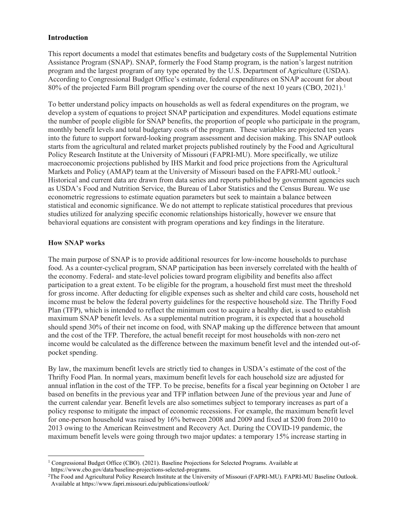#### **Introduction**

This report documents a model that estimates benefits and budgetary costs of the Supplemental Nutrition Assistance Program (SNAP). SNAP, formerly the Food Stamp program, is the nation's largest nutrition program and the largest program of any type operated by the U.S. Department of Agriculture (USDA). According to Congressional Budget Office's estimate, federal expenditures on SNAP account for about 80% of the projected Farm Bill program spending over the course of the next 10 years (CBO, 2021). [1](#page-2-0)

To better understand policy impacts on households as well as federal expenditures on the program, we develop a system of equations to project SNAP participation and expenditures. Model equations estimate the number of people eligible for SNAP benefits, the proportion of people who participate in the program, monthly benefit levels and total budgetary costs of the program. These variables are projected ten years into the future to support forward-looking program assessment and decision making. This SNAP outlook starts from the agricultural and related market projects published routinely by the Food and Agricultural Policy Research Institute at the University of Missouri (FAPRI-MU). More specifically, we utilize macroeconomic projections published by IHS Markit and food price projections from the Agricultural Markets and Policy (AMAP) team at the University of Missouri based on the FAPRI-MU outlook.<sup>[2](#page-2-1)</sup> Historical and current data are drawn from data series and reports published by government agencies such as USDA's Food and Nutrition Service, the Bureau of Labor Statistics and the Census Bureau. We use econometric regressions to estimate equation parameters but seek to maintain a balance between statistical and economic significance. We do not attempt to replicate statistical procedures that previous studies utilized for analyzing specific economic relationships historically, however we ensure that behavioral equations are consistent with program operations and key findings in the literature.

### **How SNAP works**

The main purpose of SNAP is to provide additional resources for low-income households to purchase food. As a counter-cyclical program, SNAP participation has been inversely correlated with the health of the economy. Federal- and state-level policies toward program eligibility and benefits also affect participation to a great extent. To be eligible for the program, a household first must meet the threshold for gross income. After deducting for eligible expenses such as shelter and child care costs, household net income must be below the federal poverty guidelines for the respective household size. The Thrifty Food Plan (TFP), which is intended to reflect the minimum cost to acquire a healthy diet, is used to establish maximum SNAP benefit levels. As a supplemental nutrition program, it is expected that a household should spend 30% of their net income on food, with SNAP making up the difference between that amount and the cost of the TFP. Therefore, the actual benefit receipt for most households with non-zero net income would be calculated as the difference between the maximum benefit level and the intended out-ofpocket spending.

By law, the maximum benefit levels are strictly tied to changes in USDA's estimate of the cost of the Thrifty Food Plan. In normal years, maximum benefit levels for each household size are adjusted for annual inflation in the cost of the TFP. To be precise, benefits for a fiscal year beginning on October 1 are based on benefits in the previous year and TFP inflation between June of the previous year and June of the current calendar year. Benefit levels are also sometimes subject to temporary increases as part of a policy response to mitigate the impact of economic recessions. For example, the maximum benefit level for one-person household was raised by 16% between 2008 and 2009 and fixed at \$200 from 2010 to 2013 owing to the American Reinvestment and Recovery Act. During the COVID-19 pandemic, the maximum benefit levels were going through two major updates: a temporary 15% increase starting in

<span id="page-2-0"></span><sup>&</sup>lt;sup>1</sup> Congressional Budget Office (CBO). (2021). Baseline Projections for Selected Programs. Available at https://www.cbo.gov/data/baseline-projections-selected-programs.

<span id="page-2-1"></span><sup>2</sup>The Food and Agricultural Policy Research Institute at the University of Missouri (FAPRI-MU). FAPRI-MU Baseline Outlook. Available at https://www.fapri.missouri.edu/publications/outlook/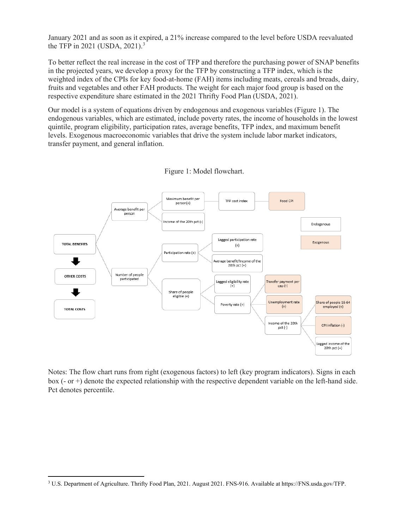January 2021 and as soon as it expired, a 21% increase compared to the level before USDA reevaluated the TFP in 2021 (USDA, 2021). [3](#page-3-0)

To better reflect the real increase in the cost of TFP and therefore the purchasing power of SNAP benefits in the projected years, we develop a proxy for the TFP by constructing a TFP index, which is the weighted index of the CPIs for key food-at-home (FAH) items including meats, cereals and breads, dairy, fruits and vegetables and other FAH products. The weight for each major food group is based on the respective expenditure share estimated in the 2021 Thrifty Food Plan (USDA, 2021).

Our model is a system of equations driven by endogenous and exogenous variables (Figure 1). The endogenous variables, which are estimated, include poverty rates, the income of households in the lowest quintile, program eligibility, participation rates, average benefits, TFP index, and maximum benefit levels. Exogenous macroeconomic variables that drive the system include labor market indicators, transfer payment, and general inflation.





Notes: The flow chart runs from right (exogenous factors) to left (key program indicators). Signs in each box (- or +) denote the expected relationship with the respective dependent variable on the left-hand side. Pct denotes percentile.

<span id="page-3-0"></span><sup>3</sup> U.S. Department of Agriculture. Thrifty Food Plan, 2021. August 2021. FNS-916. Available at https://FNS.usda.gov/TFP.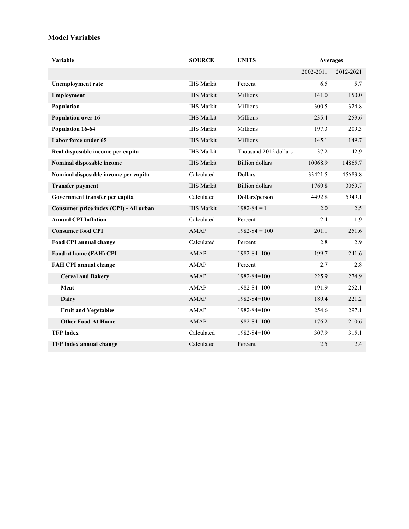### **Model Variables**

| Variable                               | <b>SOURCE</b>     | <b>UNITS</b>           | <b>Averages</b> |           |
|----------------------------------------|-------------------|------------------------|-----------------|-----------|
|                                        |                   |                        | 2002-2011       | 2012-2021 |
| <b>Unemployment rate</b>               | <b>IHS</b> Markit | Percent                | 6.5             | 5.7       |
| <b>Employment</b>                      | <b>IHS</b> Markit | Millions               | 141.0           | 150.0     |
| Population                             | <b>IHS</b> Markit | Millions               | 300.5           | 324.8     |
| <b>Population over 16</b>              | <b>IHS</b> Markit | Millions               | 235.4           | 259.6     |
| <b>Population 16-64</b>                | <b>IHS</b> Markit | Millions               | 197.3           | 209.3     |
| Labor force under 65                   | <b>IHS Markit</b> | Millions               | 145.1           | 149.7     |
| Real disposable income per capita      | <b>IHS</b> Markit | Thousand 2012 dollars  | 37.2            | 42.9      |
| Nominal disposable income              | <b>IHS</b> Markit | <b>Billion</b> dollars | 10068.9         | 14865.7   |
| Nominal disposable income per capita   | Calculated        | <b>Dollars</b>         | 33421.5         | 45683.8   |
| <b>Transfer payment</b>                | <b>IHS</b> Markit | <b>Billion</b> dollars | 1769.8          | 3059.7    |
| Government transfer per capita         | Calculated        | Dollars/person         | 4492.8          | 5949.1    |
| Consumer price index (CPI) - All urban | <b>IHS</b> Markit | $1982 - 84 = 1$        | 2.0             | 2.5       |
| <b>Annual CPI Inflation</b>            | Calculated        | Percent                | 2.4             | 1.9       |
| <b>Consumer food CPI</b>               | AMAP              | $1982 - 84 = 100$      | 201.1           | 251.6     |
| Food CPI annual change                 | Calculated        | Percent                | 2.8             | 2.9       |
| Food at home (FAH) CPI                 | <b>AMAP</b>       | $1982 - 84 = 100$      | 199.7           | 241.6     |
| <b>FAH CPI annual change</b>           | <b>AMAP</b>       | Percent                | 2.7             | 2.8       |
| <b>Cereal and Bakery</b>               | <b>AMAP</b>       | $1982 - 84 = 100$      | 225.9           | 274.9     |
| Meat                                   | AMAP              | $1982 - 84 = 100$      | 191.9           | 252.1     |
| <b>Dairy</b>                           | <b>AMAP</b>       | $1982 - 84 = 100$      | 189.4           | 221.2     |
| <b>Fruit and Vegetables</b>            | AMAP              | $1982 - 84 = 100$      | 254.6           | 297.1     |
| <b>Other Food At Home</b>              | <b>AMAP</b>       | $1982 - 84 = 100$      | 176.2           | 210.6     |
| <b>TFP</b> index                       | Calculated        | $1982 - 84 = 100$      | 307.9           | 315.1     |
| TFP index annual change                | Calculated        | Percent                | 2.5             | 2.4       |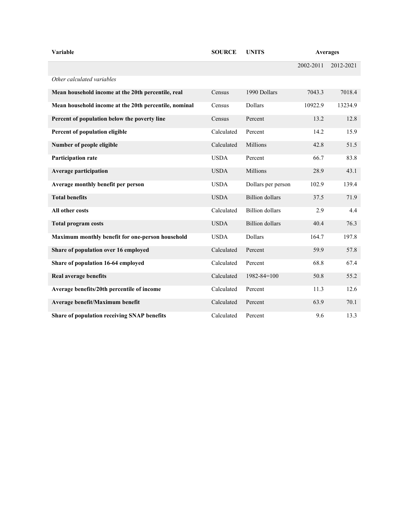| Variable                                              | <b>SOURCE</b> | <b>UNITS</b>           | <b>Averages</b> |           |
|-------------------------------------------------------|---------------|------------------------|-----------------|-----------|
|                                                       |               |                        | 2002-2011       | 2012-2021 |
| Other calculated variables                            |               |                        |                 |           |
| Mean household income at the 20th percentile, real    | Census        | 1990 Dollars           | 7043.3          | 7018.4    |
| Mean household income at the 20th percentile, nominal | Census        | Dollars                | 10922.9         | 13234.9   |
| Percent of population below the poverty line          | Census        | Percent                | 13.2            | 12.8      |
| Percent of population eligible                        | Calculated    | Percent                | 14.2            | 15.9      |
| Number of people eligible                             | Calculated    | Millions               | 42.8            | 51.5      |
| <b>Participation rate</b>                             | <b>USDA</b>   | Percent                | 66.7            | 83.8      |
| <b>Average participation</b>                          | <b>USDA</b>   | <b>Millions</b>        | 28.9            | 43.1      |
| Average monthly benefit per person                    | <b>USDA</b>   | Dollars per person     | 102.9           | 139.4     |
| <b>Total benefits</b>                                 | <b>USDA</b>   | <b>Billion</b> dollars | 37.5            | 71.9      |
| All other costs                                       | Calculated    | <b>Billion</b> dollars | 2.9             | 4.4       |
| <b>Total program costs</b>                            | <b>USDA</b>   | <b>Billion</b> dollars | 40.4            | 76.3      |
| Maximum monthly benefit for one-person household      | <b>USDA</b>   | Dollars                | 164.7           | 197.8     |
| Share of population over 16 employed                  | Calculated    | Percent                | 59.9            | 57.8      |
| Share of population 16-64 employed                    | Calculated    | Percent                | 68.8            | 67.4      |
| Real average benefits                                 | Calculated    | $1982 - 84 = 100$      | 50.8            | 55.2      |
| Average benefits/20th percentile of income            | Calculated    | Percent                | 11.3            | 12.6      |
| Average benefit/Maximum benefit                       | Calculated    | Percent                | 63.9            | 70.1      |
| Share of population receiving SNAP benefits           | Calculated    | Percent                | 9.6             | 13.3      |